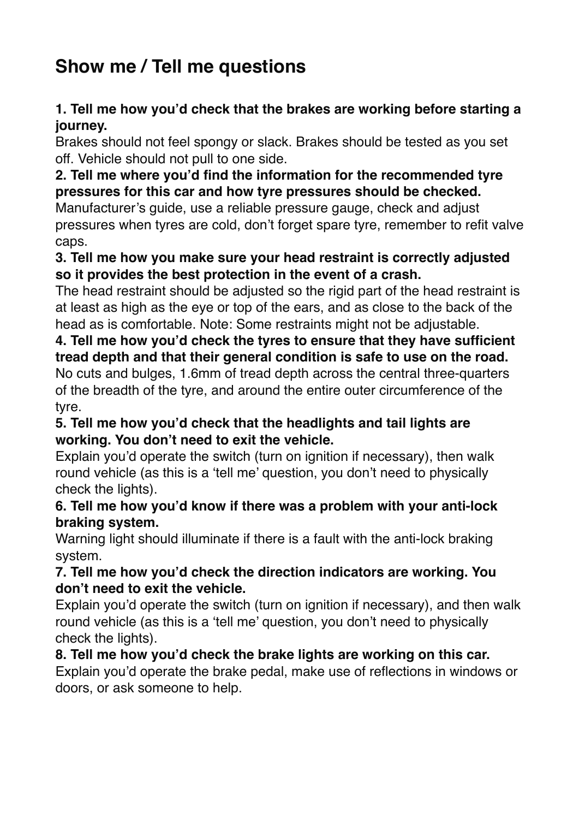# **Show me / Tell me questions**

# **1. Tell me how you'd check that the brakes are working before starting a journey.**

Brakes should not feel spongy or slack. Brakes should be tested as you set off. Vehicle should not pull to one side.

## **2. Tell me where you'd find the information for the recommended tyre pressures for this car and how tyre pressures should be checked.**

Manufacturer's guide, use a reliable pressure gauge, check and adjust pressures when tyres are cold, don't forget spare tyre, remember to refit valve caps.

## **3. Tell me how you make sure your head restraint is correctly adjusted so it provides the best protection in the event of a crash.**

The head restraint should be adjusted so the rigid part of the head restraint is at least as high as the eye or top of the ears, and as close to the back of the head as is comfortable. Note: Some restraints might not be adjustable.

### **4. Tell me how you'd check the tyres to ensure that they have sufficient tread depth and that their general condition is safe to use on the road.** No cuts and bulges, 1.6mm of tread depth across the central three-quarters of the breadth of the tyre, and around the entire outer circumference of the tyre.

## **5. Tell me how you'd check that the headlights and tail lights are working. You don't need to exit the vehicle.**

Explain you'd operate the switch (turn on ignition if necessary), then walk round vehicle (as this is a 'tell me' question, you don't need to physically check the lights).

## **6. Tell me how you'd know if there was a problem with your anti-lock braking system.**

Warning light should illuminate if there is a fault with the anti-lock braking system.

# **7. Tell me how you'd check the direction indicators are working. You don't need to exit the vehicle.**

Explain you'd operate the switch (turn on ignition if necessary), and then walk round vehicle (as this is a 'tell me' question, you don't need to physically check the lights).

#### **8. Tell me how you'd check the brake lights are working on this car.** Explain you'd operate the brake pedal, make use of reflections in windows or doors, or ask someone to help.